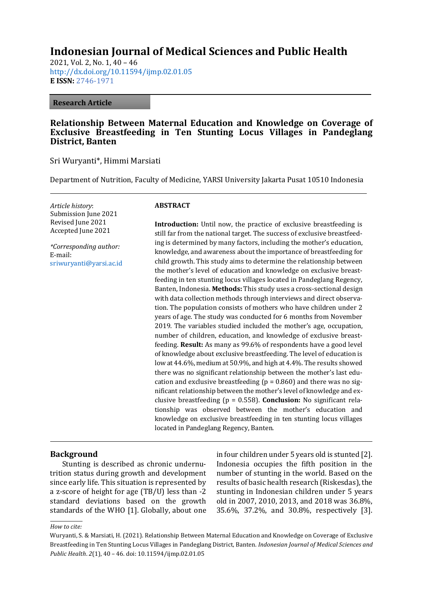# **Indonesian Journal of Medical Sciences and Public Health**

2021, Vol. 2, No. 1, 40 – 46 <http://dx.doi.org/10.11594/ijmp.02.01.05> **E ISSN:** [2746-1971](https://issn.lipi.go.id/terbit/detail/1599795286)

#### **Research Article**

### **Relationship Between Maternal Education and Knowledge on Coverage of Exclusive Breastfeeding in Ten Stunting Locus Villages in Pandeglang District, Banten**

Sri Wuryanti\*, Himmi Marsiati

Department of Nutrition, Faculty of Medicine, YARSI University Jakarta Pusat 10510 Indonesia

*Article history*: Submission June 2021 Revised June 2021 Accepted June 2021

*\*Corresponding author:* E-mail: [sriwuryanti@yarsi.ac.id](mailto:sriwuryanti@yarsi.ac.id)

#### **ABSTRACT**

**Introduction:** Until now, the practice of exclusive breastfeeding is still far from the national target. The success of exclusive breastfeeding is determined by many factors, including the mother's education, knowledge, and awareness about the importance of breastfeeding for child growth. This study aims to determine the relationship between the mother's level of education and knowledge on exclusive breastfeeding in ten stunting locus villages located in Pandeglang Regency, Banten, Indonesia. **Methods:** This study uses a cross-sectional design with data collection methods through interviews and direct observation. The population consists of mothers who have children under 2 years of age. The study was conducted for 6 months from November 2019. The variables studied included the mother's age, occupation, number of children, education, and knowledge of exclusive breastfeeding. **Result:** As many as 99.6% of respondents have a good level of knowledge about exclusive breastfeeding. The level of education is low at 44.6%, medium at 50.9%, and high at 4.4%. The results showed there was no significant relationship between the mother's last education and exclusive breastfeeding ( $p = 0.860$ ) and there was no significant relationship between the mother's level of knowledge and exclusive breastfeeding (p = 0.558). **Conclusion:** No significant relationship was observed between the mother's education and knowledge on exclusive breastfeeding in ten stunting locus villages located in Pandeglang Regency, Banten.

#### **Background**

Stunting is described as chronic undernutrition status during growth and development since early life. This situation is represented by a z-score of height for age (TB/U) less than -2 standard deviations based on the growth standards of the WHO [1]. Globally, about one in four children under 5 years old is stunted [2]. Indonesia occupies the fifth position in the number of stunting in the world. Based on the results of basic health research (Riskesdas), the stunting in Indonesian children under 5 years old in 2007, 2010, 2013, and 2018 was 36.8%, 35.6%, 37.2%, and 30.8%, respectively [3].

#### *How to cite:*

Wuryanti, S. & Marsiati, H. (2021). Relationship Between Maternal Education and Knowledge on Coverage of Exclusive Breastfeeding in Ten Stunting Locus Villages in Pandeglang District, Banten. *Indonesian Journal of Medical Sciences and Public Health*. *2*(1), 40 – 46. doi: 10.11594/ijmp.02.01.05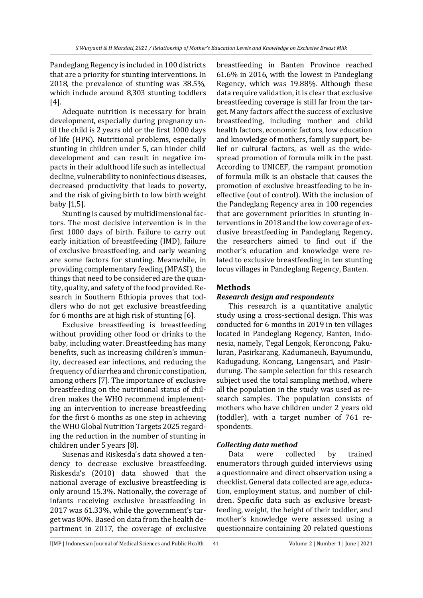Pandeglang Regency is included in 100 districts that are a priority for stunting interventions. In 2018, the prevalence of stunting was 38.5%, which include around 8,303 stunting toddlers [4].

Adequate nutrition is necessary for brain development, especially during pregnancy until the child is 2 years old or the first 1000 days of life (HPK). Nutritional problems, especially stunting in children under 5, can hinder child development and can result in negative impacts in their adulthood life such as intellectual decline, vulnerability to noninfectious diseases, decreased productivity that leads to poverty, and the risk of giving birth to low birth weight baby [1,5].

Stunting is caused by multidimensional factors. The most decisive intervention is in the first 1000 days of birth. Failure to carry out early initiation of breastfeeding (IMD), failure of exclusive breastfeeding, and early weaning are some factors for stunting. Meanwhile, in providing complementary feeding (MPASI), the things that need to be considered are the quantity, quality, and safety of the food provided. Research in Southern Ethiopia proves that toddlers who do not get exclusive breastfeeding for 6 months are at high risk of stunting [6].

Exclusive breastfeeding is breastfeeding without providing other food or drinks to the baby, including water. Breastfeeding has many benefits, such as increasing children's immunity, decreased ear infections, and reducing the frequency of diarrhea and chronic constipation, among others [7]. The importance of exclusive breastfeeding on the nutritional status of children makes the WHO recommend implementing an intervention to increase breastfeeding for the first 6 months as one step in achieving the WHO Global Nutrition Targets 2025 regarding the reduction in the number of stunting in children under 5 years [8].

Susenas and Riskesda's data showed a tendency to decrease exclusive breastfeeding. Riskesda's (2010) data showed that the national average of exclusive breastfeeding is only around 15.3%. Nationally, the coverage of infants receiving exclusive breastfeeding in 2017 was 61.33%, while the government's target was 80%. Based on data from the health department in 2017, the coverage of exclusive breastfeeding in Banten Province reached 61.6% in 2016, with the lowest in Pandeglang Regency, which was 19.88%. Although these data require validation, it is clear that exclusive breastfeeding coverage is still far from the target. Many factors affect the success of exclusive breastfeeding, including mother and child health factors, economic factors, low education and knowledge of mothers, family support, belief or cultural factors, as well as the widespread promotion of formula milk in the past. According to UNICEF, the rampant promotion of formula milk is an obstacle that causes the promotion of exclusive breastfeeding to be ineffective (out of control). With the inclusion of the Pandeglang Regency area in 100 regencies that are government priorities in stunting interventions in 2018 and the low coverage of exclusive breastfeeding in Pandeglang Regency, the researchers aimed to find out if the mother's education and knowledge were related to exclusive breastfeeding in ten stunting locus villages in Pandeglang Regency, Banten.

# **Methods**

# *Research design and respondents*

This research is a quantitative analytic study using a cross-sectional design. This was conducted for 6 months in 2019 in ten villages located in Pandeglang Regency, Banten, Indonesia, namely, Tegal Lengok, Keroncong, Pakuluran, Pasirkarang, Kadumaneuh, Bayumundu, Kadugadung, Koncang, Langensari, and Pasirdurung. The sample selection for this research subject used the total sampling method, where all the population in the study was used as research samples. The population consists of mothers who have children under 2 years old (toddler), with a target number of 761 respondents.

### *Collecting data method*

Data were collected by trained enumerators through guided interviews using a questionnaire and direct observation using a checklist. General data collected are age, education, employment status, and number of children. Specific data such as exclusive breastfeeding, weight, the height of their toddler, and mother's knowledge were assessed using a questionnaire containing 20 related questions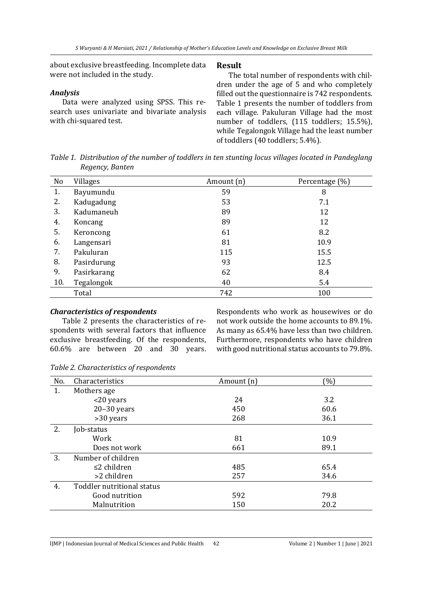about exclusive breastfeeding. Incomplete data were not included in the study.

# *Analysis*

Data were analyzed using SPSS. This research uses univariate and bivariate analysis with chi-squared test.

# **Result**

The total number of respondents with children under the age of 5 and who completely filled out the questionnaire is 742 respondents. Table 1 presents the number of toddlers from each village. Pakuluran Village had the most number of toddlers, (115 toddlers; 15.5%), while Tegalongok Village had the least number of toddlers (40 toddlers; 5.4%).

*Table 1. Distribution of the number of toddlers in ten stunting locus villages located in Pandeglang Regency, Banten*

| No  | <b>Villages</b> | Amount (n) | Percentage (%) |
|-----|-----------------|------------|----------------|
| 1.  | Bayumundu       | 59         | 8              |
| 2.  | Kadugadung      | 53         | 7.1            |
| 3.  | Kadumaneuh      | 89         | 12             |
| 4.  | Koncang         | 89         | 12             |
| 5.  | Keroncong       | 61         | 8.2            |
| 6.  | Langensari      | 81         | 10.9           |
| 7.  | Pakuluran       | 115        | 15.5           |
| 8.  | Pasirdurung     | 93         | 12.5           |
| 9.  | Pasirkarang     | 62         | 8.4            |
| 10. | Tegalongok      | 40         | 5.4            |
|     | Total           | 742        | 100            |

### *Characteristics of respondents*

Table 2 presents the characteristics of respondents with several factors that influence exclusive breastfeeding. Of the respondents, 60.6% are between 20 and 30 years.

Respondents who work as housewives or do not work outside the home accounts to 89.1%. As many as 65.4% have less than two children. Furthermore, respondents who have children with good nutritional status accounts to 79.8%.

|  |  | Table 2. Characteristics of respondents |  |  |  |
|--|--|-----------------------------------------|--|--|--|
|--|--|-----------------------------------------|--|--|--|

| No. | Characteristics            | Amount (n) | $(\%)$ |
|-----|----------------------------|------------|--------|
| 1.  | Mothers age                |            |        |
|     | <20 years                  | 24         | 3.2    |
|     | $20-30$ years              | 450        | 60.6   |
|     | >30 years                  | 268        | 36.1   |
| 2.  | Job-status                 |            |        |
|     | Work                       | 81         | 10.9   |
|     | Does not work              | 661        | 89.1   |
| 3.  | Number of children         |            |        |
|     | $\leq$ 2 children          | 485        | 65.4   |
|     | >2 children                | 257        | 34.6   |
| 4.  | Toddler nutritional status |            |        |
|     | Good nutrition             | 592        | 79.8   |
|     | Malnutrition               | 150        | 20.2   |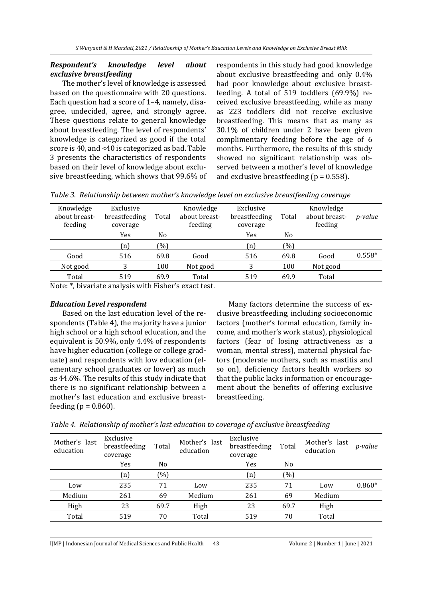### *Respondent's knowledge level about exclusive breastfeeding*

The mother's level of knowledge is assessed based on the questionnaire with 20 questions. Each question had a score of 1–4, namely, disagree, undecided, agree, and strongly agree. These questions relate to general knowledge about breastfeeding. The level of respondents' knowledge is categorized as good if the total score is 40, and <40 is categorized as bad. Table 3 presents the characteristics of respondents based on their level of knowledge about exclusive breastfeeding, which shows that 99.6% of respondents in this study had good knowledge about exclusive breastfeeding and only 0.4% had poor knowledge about exclusive breastfeeding. A total of 519 toddlers (69.9%) received exclusive breastfeeding, while as many as 223 toddlers did not receive exclusive breastfeeding. This means that as many as 30.1% of children under 2 have been given complimentary feeding before the age of 6 months. Furthermore, the results of this study showed no significant relationship was observed between a mother's level of knowledge and exclusive breastfeeding ( $p = 0.558$ ).

|  |  | Table 3. Relationship between mother's knowledge level on exclusive breastfeeding coverage |  |  |  |  |
|--|--|--------------------------------------------------------------------------------------------|--|--|--|--|
|--|--|--------------------------------------------------------------------------------------------|--|--|--|--|

| Knowledge<br>about breast-<br>feeding | Exclusive<br>breastfeeding<br>coverage | Total | Knowledge<br>about breast-<br>feeding | Exclusive<br>breastfeeding<br>coverage | Total          | Knowledge<br>about breast-<br>feeding | p-value  |
|---------------------------------------|----------------------------------------|-------|---------------------------------------|----------------------------------------|----------------|---------------------------------------|----------|
|                                       | Yes                                    | No    |                                       | Yes                                    | N <sub>o</sub> |                                       |          |
|                                       | n)                                     | (0/0) |                                       | n)                                     | (%)            |                                       |          |
| Good                                  | 516                                    | 69.8  | Good                                  | 516                                    | 69.8           | Good                                  | $0.558*$ |
| Not good                              | 3                                      | 100   | Not good                              | 3                                      | 100            | Not good                              |          |
| Total                                 | 519                                    | 69.9  | Total                                 | 519                                    | 69.9           | Total                                 |          |
|                                       |                                        |       |                                       |                                        |                |                                       |          |

Note: \*, bivariate analysis with Fisher's exact test.

#### *Education Level respondent*

Based on the last education level of the respondents (Table 4), the majority have a junior high school or a high school education, and the equivalent is 50.9%, only 4.4% of respondents have higher education (college or college graduate) and respondents with low education (elementary school graduates or lower) as much as 44.6%. The results of this study indicate that there is no significant relationship between a mother's last education and exclusive breastfeeding ( $p = 0.860$ ).

Many factors determine the success of exclusive breastfeeding, including socioeconomic factors (mother's formal education, family income, and mother's work status), physiological factors (fear of losing attractiveness as a woman, mental stress), maternal physical factors (moderate mothers, such as mastitis and so on), deficiency factors health workers so that the public lacks information or encouragement about the benefits of offering exclusive breastfeeding.

| Mother's last<br>education | Exclusive<br>breastfeeding<br>coverage | Total | Mother's last<br>education | Exclusive<br>breastfeeding<br>coverage | Total | Mother's last<br>education | <i>p</i> -value |
|----------------------------|----------------------------------------|-------|----------------------------|----------------------------------------|-------|----------------------------|-----------------|
|                            | Yes                                    | No    |                            | Yes                                    | No    |                            |                 |
|                            | (n)                                    | (0/0) |                            | (n)                                    | (%)   |                            |                 |
| Low                        | 235                                    | 71    | Low                        | 235                                    | 71    | Low                        | $0.860*$        |
| Medium                     | 261                                    | 69    | Medium                     | 261                                    | 69    | Medium                     |                 |
| High                       | 23                                     | 69.7  | High                       | 23                                     | 69.7  | High                       |                 |
| Total                      | 519                                    | 70    | Total                      | 519                                    | 70    | Total                      |                 |

*Table 4. Relationship of mother's last education to coverage of exclusive breastfeeding*

IJMP | Indonesian Journal of Medical Sciences and Public Health 43 Volume 2 | Number 1 | June | 2021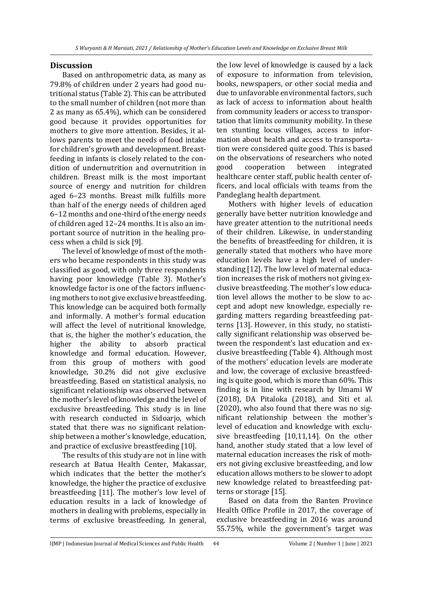#### **Discussion**

Based on anthropometric data, as many as 79.8% of children under 2 years had good nutritional status (Table 2). This can be attributed to the small number of children (not more than 2 as many as 65.4%), which can be considered good because it provides opportunities for mothers to give more attention. Besides, it allows parents to meet the needs of food intake for children's growth and development. Breastfeeding in infants is closely related to the condition of undernutrition and overnutrition in children. Breast milk is the most important source of energy and nutrition for children aged 6–23 months. Breast milk fulfills more than half of the energy needs of children aged 6–12 months and one-third of the energy needs of children aged 12–24 months. It is also an important source of nutrition in the healing process when a child is sick [9].

The level of knowledge of most of the mothers who became respondents in this study was classified as good, with only three respondents having poor knowledge (Table 3). Mother's knowledge factor is one of the factors influencing mothers to not give exclusive breastfeeding. This knowledge can be acquired both formally and informally. A mother's formal education will affect the level of nutritional knowledge, that is, the higher the mother's education, the higher the ability to absorb practical knowledge and formal education. However, from this group of mothers with good knowledge, 30.2% did not give exclusive breastfeeding. Based on statistical analysis, no significant relationship was observed between the mother's level of knowledge and the level of exclusive breastfeeding. This study is in line with research conducted in Sidoarjo, which stated that there was no significant relationship between a mother's knowledge, education, and practice of exclusive breastfeeding [10].

The results of this study are not in line with research at Batua Health Center, Makassar, which indicates that the better the mother's knowledge, the higher the practice of exclusive breastfeeding [11]. The mother's low level of education results in a lack of knowledge of mothers in dealing with problems, especially in terms of exclusive breastfeeding. In general, the low level of knowledge is caused by a lack of exposure to information from television, books, newspapers, or other social media and due to unfavorable environmental factors, such as lack of access to information about health from community leaders or access to transportation that limits community mobility. In these ten stunting locus villages, access to information about health and access to transportation were considered quite good. This is based on the observations of researchers who noted good cooperation between integrated healthcare center staff, public health center officers, and local officials with teams from the Pandeglang health department.

Mothers with higher levels of education generally have better nutrition knowledge and have greater attention to the nutritional needs of their children. Likewise, in understanding the benefits of breastfeeding for children, it is generally stated that mothers who have more education levels have a high level of understanding [12]. The low level of maternal education increases the risk of mothers not giving exclusive breastfeeding. The mother's low education level allows the mother to be slow to accept and adopt new knowledge, especially regarding matters regarding breastfeeding patterns [13]. However, in this study, no statistically significant relationship was observed between the respondent's last education and exclusive breastfeeding (Table 4). Although most of the mothers' education levels are moderate and low, the coverage of exclusive breastfeeding is quite good, which is more than 60%. This finding is in line with research by Umami W (2018), DA Pitaloka (2018), and Siti et al. (2020), who also found that there was no significant relationship between the mother's level of education and knowledge with exclusive breastfeeding [10,11,14]. On the other hand, another study stated that a low level of maternal education increases the risk of mothers not giving exclusive breastfeeding, and low education allows mothers to be slower to adopt new knowledge related to breastfeeding patterns or storage [15].

Based on data from the Banten Province Health Office Profile in 2017, the coverage of exclusive breastfeeding in 2016 was around 55.75%, while the government's target was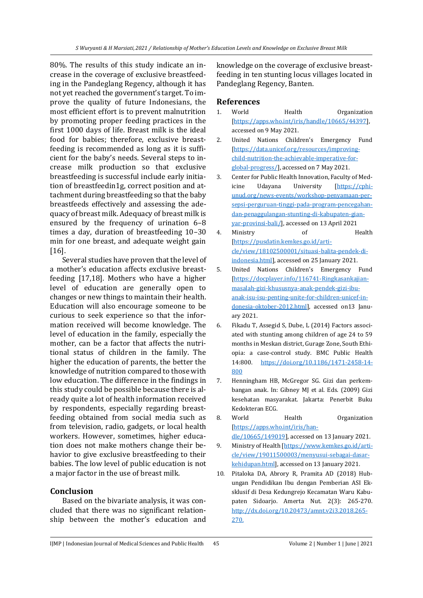80%. The results of this study indicate an increase in the coverage of exclusive breastfeeding in the Pandeglang Regency, although it has not yet reached the government's target. To improve the quality of future Indonesians, the most efficient effort is to prevent malnutrition by promoting proper feeding practices in the first 1000 days of life. Breast milk is the ideal food for babies; therefore, exclusive breastfeeding is recommended as long as it is sufficient for the baby's needs. Several steps to increase milk production so that exclusive breastfeeding is successful include early initiation of breastfeedin1g, correct position and attachment during breastfeeding so that the baby breastfeeds effectively and assessing the adequacy of breast milk. Adequacy of breast milk is ensured by the frequency of urination 6–8 times a day, duration of breastfeeding 10–30 min for one breast, and adequate weight gain [16].

Several studies have proven that the level of a mother's education affects exclusive breastfeeding [17,18]. Mothers who have a higher level of education are generally open to changes or new things to maintain their health. Education will also encourage someone to be curious to seek experience so that the information received will become knowledge. The level of education in the family, especially the mother, can be a factor that affects the nutritional status of children in the family. The higher the education of parents, the better the knowledge of nutrition compared to those with low education. The difference in the findings in this study could be possible because there is already quite a lot of health information received by respondents, especially regarding breastfeeding obtained from social media such as from television, radio, gadgets, or local health workers. However, sometimes, higher education does not make mothers change their behavior to give exclusive breastfeeding to their babies. The low level of public education is not a major factor in the use of breast milk.

### **Conclusion**

Based on the bivariate analysis, it was concluded that there was no significant relationship between the mother's education and knowledge on the coverage of exclusive breastfeeding in ten stunting locus villages located in Pandeglang Regency, Banten.

### **References**

- 1. World Health Organization [\[https://apps.who.int/iris/handle/10665/44397\]](https://apps.who.int/iris/handle/10665/44397), accessed on 9 May 2021.
- 2. United Nations Children's Emergency Fund [\[https://data.unicef.org/resources/improving](https://data.unicef.org/resources/improving-child-nutrition-the-achievable-imperative-for-global-progress/)[child-nutrition-the-achievable-imperative-for](https://data.unicef.org/resources/improving-child-nutrition-the-achievable-imperative-for-global-progress/)[global-progress/\]](https://data.unicef.org/resources/improving-child-nutrition-the-achievable-imperative-for-global-progress/), accessed on 7 May 2021.
- 3. Center for Public Health Innovation, Faculty of Medicine Udayana University [\[https://cphi](https://cphi-unud.org/news-events/workshop-penyamaan-persepsi-perguruan-tinggi-pada-program-pencegahan-dan-penaggulangan-stunting-di-kabupaten-gianyar-provinsi-bali/)[unud.org/news-events/workshop-penyamaan-per](https://cphi-unud.org/news-events/workshop-penyamaan-persepsi-perguruan-tinggi-pada-program-pencegahan-dan-penaggulangan-stunting-di-kabupaten-gianyar-provinsi-bali/)[sepsi-perguruan-tinggi-pada-program-pencegahan](https://cphi-unud.org/news-events/workshop-penyamaan-persepsi-perguruan-tinggi-pada-program-pencegahan-dan-penaggulangan-stunting-di-kabupaten-gianyar-provinsi-bali/)[dan-penaggulangan-stunting-di-kabupaten-gian](https://cphi-unud.org/news-events/workshop-penyamaan-persepsi-perguruan-tinggi-pada-program-pencegahan-dan-penaggulangan-stunting-di-kabupaten-gianyar-provinsi-bali/)[yar-provinsi-bali/\]](https://cphi-unud.org/news-events/workshop-penyamaan-persepsi-perguruan-tinggi-pada-program-pencegahan-dan-penaggulangan-stunting-di-kabupaten-gianyar-provinsi-bali/), accessed on 13 April 2021
- 4. Ministry of Health [\[https://pusdatin.kemkes.go.id/arti](https://pusdatin.kemkes.go.id/article/view/18102500001/situasi-balita-pendek-di-indonesia.html)[cle/view/18102500001/situasi-balita-pendek-di](https://pusdatin.kemkes.go.id/article/view/18102500001/situasi-balita-pendek-di-indonesia.html)[indonesia.html\]](https://pusdatin.kemkes.go.id/article/view/18102500001/situasi-balita-pendek-di-indonesia.html), accessed on 25 January 2021.
- 5. United Nations Children's Emergency Fund [\[https://docplayer.info/116741-Ringkasankajian](https://docplayer.info/116741-Ringkasankajian-masalah-gizi-khususnya-anak-pendek-gizi-ibu-anak-isu-isu-penting-unite-for-children-unicef-indonesia-oktober-2012.html)[masalah-gizi-khususnya-anak-pendek-gizi-ibu](https://docplayer.info/116741-Ringkasankajian-masalah-gizi-khususnya-anak-pendek-gizi-ibu-anak-isu-isu-penting-unite-for-children-unicef-indonesia-oktober-2012.html)[anak-isu-isu-penting-unite-for-children-unicef-in](https://docplayer.info/116741-Ringkasankajian-masalah-gizi-khususnya-anak-pendek-gizi-ibu-anak-isu-isu-penting-unite-for-children-unicef-indonesia-oktober-2012.html)[donesia-oktober-2012.html\]](https://docplayer.info/116741-Ringkasankajian-masalah-gizi-khususnya-anak-pendek-gizi-ibu-anak-isu-isu-penting-unite-for-children-unicef-indonesia-oktober-2012.html), accessed on13 January 2021.
- 6. Fikadu T, Assegid S, Dube, L (2014) Factors associated with stunting among children of age 24 to 59 months in Meskan district, Gurage Zone, South Ethiopia: a case-control study. BMC Public Health 14:800. [https://doi.org/10.1186/1471-2458-14-](https://doi.org/10.1186/1471-2458-14-800) [800](https://doi.org/10.1186/1471-2458-14-800)
- 7. Henningham HB, McGregor SG. Gizi dan perkembangan anak. In: Gibney MJ et al. Eds. (2009) Gizi kesehatan masyarakat. Jakarta: Penerbit Buku Kedokteran ECG.
- 8. World Health Organization [\[https://apps.who.int/iris/han](https://apps.who.int/iris/handle/10665/149019)[dle/10665/149019\]](https://apps.who.int/iris/handle/10665/149019), accessed on 13 January 2021.
- 9. Ministry of Health [\[https://www.kemkes.go.id/arti](https://www.kemkes.go.id/article/view/19011500003/menyusui-sebagai-dasar-kehidupan.html)[cle/view/19011500003/menyusui-sebagai-dasar](https://www.kemkes.go.id/article/view/19011500003/menyusui-sebagai-dasar-kehidupan.html)[kehidupan.html\]](https://www.kemkes.go.id/article/view/19011500003/menyusui-sebagai-dasar-kehidupan.html), accessed on 13 January 2021.
- 10. Pitaloka DA, Abrory R, Pramita AD (2018) Hubungan Pendidikan Ibu dengan Pemberian ASI Eksklusif di Desa Kedungrejo Kecamatan Waru Kabupaten Sidoarjo. Amerta Nut. 2(3): 265-270. [http://dx.doi.org/10.20473/amnt.v2i3.2018.265-](http://dx.doi.org/10.20473/amnt.v2i3.2018.265-270.) [270.](http://dx.doi.org/10.20473/amnt.v2i3.2018.265-270.)